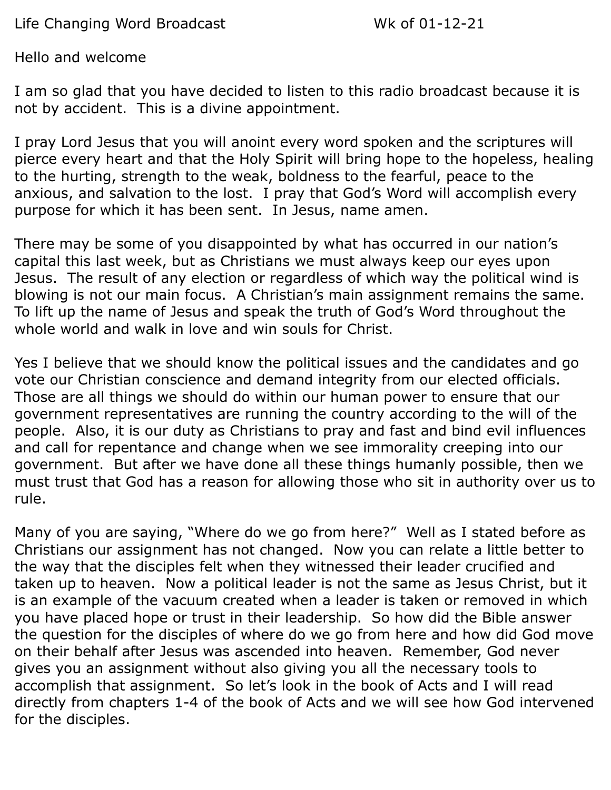Life Changing Word Broadcast Wk of 01-12-21

Hello and welcome

I am so glad that you have decided to listen to this radio broadcast because it is not by accident. This is a divine appointment.

I pray Lord Jesus that you will anoint every word spoken and the scriptures will pierce every heart and that the Holy Spirit will bring hope to the hopeless, healing to the hurting, strength to the weak, boldness to the fearful, peace to the anxious, and salvation to the lost. I pray that God's Word will accomplish every purpose for which it has been sent. In Jesus, name amen.

There may be some of you disappointed by what has occurred in our nation's capital this last week, but as Christians we must always keep our eyes upon Jesus. The result of any election or regardless of which way the political wind is blowing is not our main focus. A Christian's main assignment remains the same. To lift up the name of Jesus and speak the truth of God's Word throughout the whole world and walk in love and win souls for Christ.

Yes I believe that we should know the political issues and the candidates and go vote our Christian conscience and demand integrity from our elected officials. Those are all things we should do within our human power to ensure that our government representatives are running the country according to the will of the people. Also, it is our duty as Christians to pray and fast and bind evil influences and call for repentance and change when we see immorality creeping into our government. But after we have done all these things humanly possible, then we must trust that God has a reason for allowing those who sit in authority over us to rule.

Many of you are saying, "Where do we go from here?" Well as I stated before as Christians our assignment has not changed. Now you can relate a little better to the way that the disciples felt when they witnessed their leader crucified and taken up to heaven. Now a political leader is not the same as Jesus Christ, but it is an example of the vacuum created when a leader is taken or removed in which you have placed hope or trust in their leadership. So how did the Bible answer the question for the disciples of where do we go from here and how did God move on their behalf after Jesus was ascended into heaven. Remember, God never gives you an assignment without also giving you all the necessary tools to accomplish that assignment. So let's look in the book of Acts and I will read directly from chapters 1-4 of the book of Acts and we will see how God intervened for the disciples.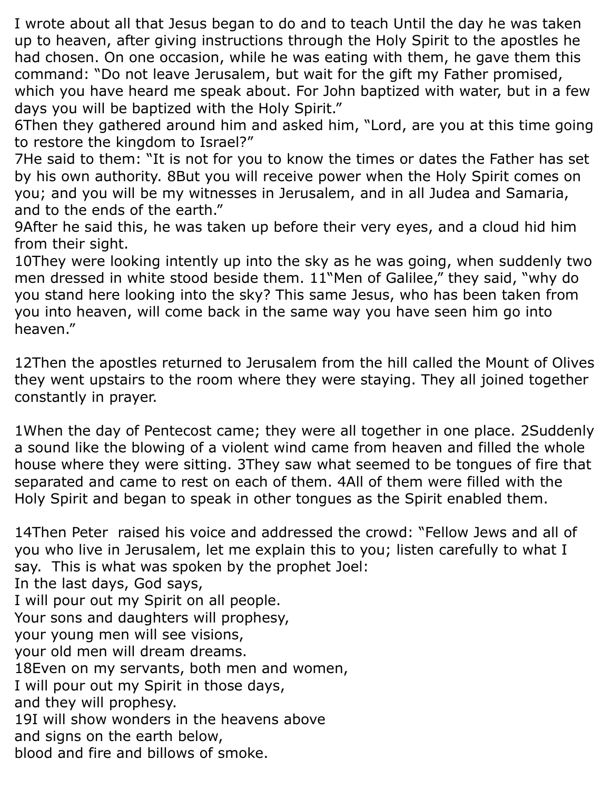I wrote about all that Jesus began to do and to teach Until the day he was taken up to heaven, after giving instructions through the Holy Spirit to the apostles he had chosen. On one occasion, while he was eating with them, he gave them this command: "Do not leave Jerusalem, but wait for the gift my Father promised, which you have heard me speak about. For John baptized with water, but in a few days you will be baptized with the Holy Spirit."

6Then they gathered around him and asked him, "Lord, are you at this time going to restore the kingdom to Israel?"

7He said to them: "It is not for you to know the times or dates the Father has set by his own authority. 8But you will receive power when the Holy Spirit comes on you; and you will be my witnesses in Jerusalem, and in all Judea and Samaria, and to the ends of the earth."

9After he said this, he was taken up before their very eyes, and a cloud hid him from their sight.

10They were looking intently up into the sky as he was going, when suddenly two men dressed in white stood beside them. 11"Men of Galilee," they said, "why do you stand here looking into the sky? This same Jesus, who has been taken from you into heaven, will come back in the same way you have seen him go into heaven."

12Then the apostles returned to Jerusalem from the hill called the Mount of Olives they went upstairs to the room where they were staying. They all joined together constantly in prayer.

1When the day of Pentecost came; they were all together in one place. 2Suddenly a sound like the blowing of a violent wind came from heaven and filled the whole house where they were sitting. 3They saw what seemed to be tongues of fire that separated and came to rest on each of them. 4All of them were filled with the Holy Spirit and began to speak in other tongues as the Spirit enabled them.

14Then Peter raised his voice and addressed the crowd: "Fellow Jews and all of you who live in Jerusalem, let me explain this to you; listen carefully to what I say. This is what was spoken by the prophet Joel: In the last days, God says, I will pour out my Spirit on all people. Your sons and daughters will prophesy, your young men will see visions, your old men will dream dreams. 18Even on my servants, both men and women, I will pour out my Spirit in those days, and they will prophesy. 19I will show wonders in the heavens above and signs on the earth below, blood and fire and billows of smoke.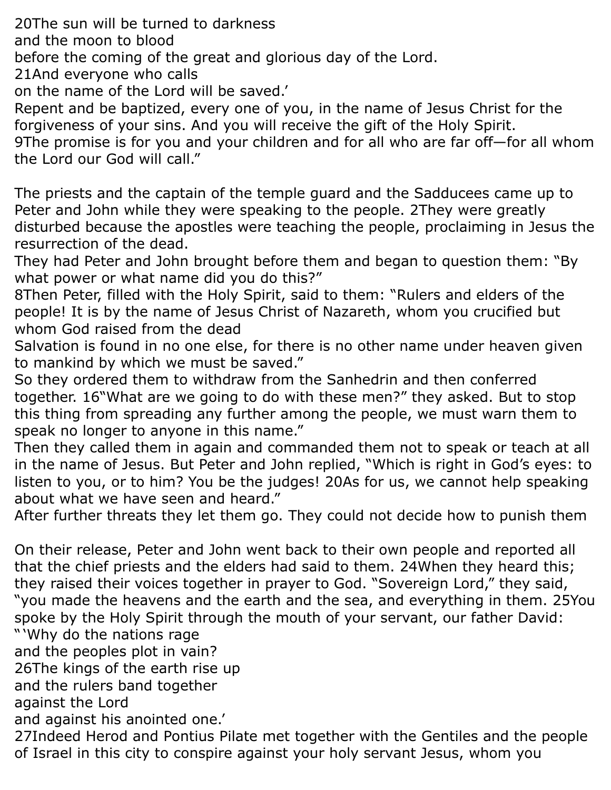20The sun will be turned to darkness

and the moon to blood

before the coming of the great and glorious day of the Lord.

21And everyone who calls

on the name of the Lord will be saved.'

Repent and be baptized, every one of you, in the name of Jesus Christ for the forgiveness of your sins. And you will receive the gift of the Holy Spirit. 9The promise is for you and your children and for all who are far off—for all whom the Lord our God will call."

The priests and the captain of the temple guard and the Sadducees came up to Peter and John while they were speaking to the people. 2They were greatly disturbed because the apostles were teaching the people, proclaiming in Jesus the resurrection of the dead.

They had Peter and John brought before them and began to question them: "By what power or what name did you do this?"

8Then Peter, filled with the Holy Spirit, said to them: "Rulers and elders of the people! It is by the name of Jesus Christ of Nazareth, whom you crucified but whom God raised from the dead

Salvation is found in no one else, for there is no other name under heaven given to mankind by which we must be saved."

So they ordered them to withdraw from the Sanhedrin and then conferred together. 16"What are we going to do with these men?" they asked. But to stop this thing from spreading any further among the people, we must warn them to speak no longer to anyone in this name."

Then they called them in again and commanded them not to speak or teach at all in the name of Jesus. But Peter and John replied, "Which is right in God's eyes: to listen to you, or to him? You be the judges! 20As for us, we cannot help speaking about what we have seen and heard."

After further threats they let them go. They could not decide how to punish them

On their release, Peter and John went back to their own people and reported all that the chief priests and the elders had said to them. 24When they heard this; they raised their voices together in prayer to God. "Sovereign Lord," they said, "you made the heavens and the earth and the sea, and everything in them. 25You spoke by the Holy Spirit through the mouth of your servant, our father David: " 'Why do the nations rage

and the peoples plot in vain?

26The kings of the earth rise up

and the rulers band together

against the Lord

and against his anointed one.'

27Indeed Herod and Pontius Pilate met together with the Gentiles and the people of Israel in this city to conspire against your holy servant Jesus, whom you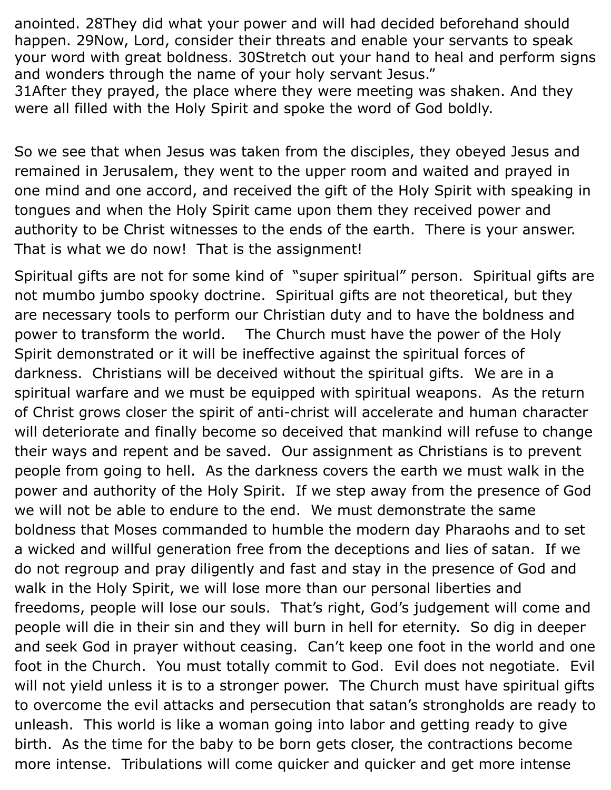anointed. 28They did what your power and will had decided beforehand should happen. 29Now, Lord, consider their threats and enable your servants to speak your word with great boldness. 30Stretch out your hand to heal and perform signs and wonders through the name of your holy servant Jesus."

31After they prayed, the place where they were meeting was shaken. And they were all filled with the Holy Spirit and spoke the word of God boldly.

So we see that when Jesus was taken from the disciples, they obeyed Jesus and remained in Jerusalem, they went to the upper room and waited and prayed in one mind and one accord, and received the gift of the Holy Spirit with speaking in tongues and when the Holy Spirit came upon them they received power and authority to be Christ witnesses to the ends of the earth. There is your answer. That is what we do now! That is the assignment!

Spiritual gifts are not for some kind of "super spiritual" person. Spiritual gifts are not mumbo jumbo spooky doctrine. Spiritual gifts are not theoretical, but they are necessary tools to perform our Christian duty and to have the boldness and power to transform the world. The Church must have the power of the Holy Spirit demonstrated or it will be ineffective against the spiritual forces of darkness. Christians will be deceived without the spiritual gifts. We are in a spiritual warfare and we must be equipped with spiritual weapons. As the return of Christ grows closer the spirit of anti-christ will accelerate and human character will deteriorate and finally become so deceived that mankind will refuse to change their ways and repent and be saved. Our assignment as Christians is to prevent people from going to hell. As the darkness covers the earth we must walk in the power and authority of the Holy Spirit. If we step away from the presence of God we will not be able to endure to the end. We must demonstrate the same boldness that Moses commanded to humble the modern day Pharaohs and to set a wicked and willful generation free from the deceptions and lies of satan. If we do not regroup and pray diligently and fast and stay in the presence of God and walk in the Holy Spirit, we will lose more than our personal liberties and freedoms, people will lose our souls. That's right, God's judgement will come and people will die in their sin and they will burn in hell for eternity. So dig in deeper and seek God in prayer without ceasing. Can't keep one foot in the world and one foot in the Church. You must totally commit to God. Evil does not negotiate. Evil will not yield unless it is to a stronger power. The Church must have spiritual gifts to overcome the evil attacks and persecution that satan's strongholds are ready to unleash. This world is like a woman going into labor and getting ready to give birth. As the time for the baby to be born gets closer, the contractions become more intense. Tribulations will come quicker and quicker and get more intense